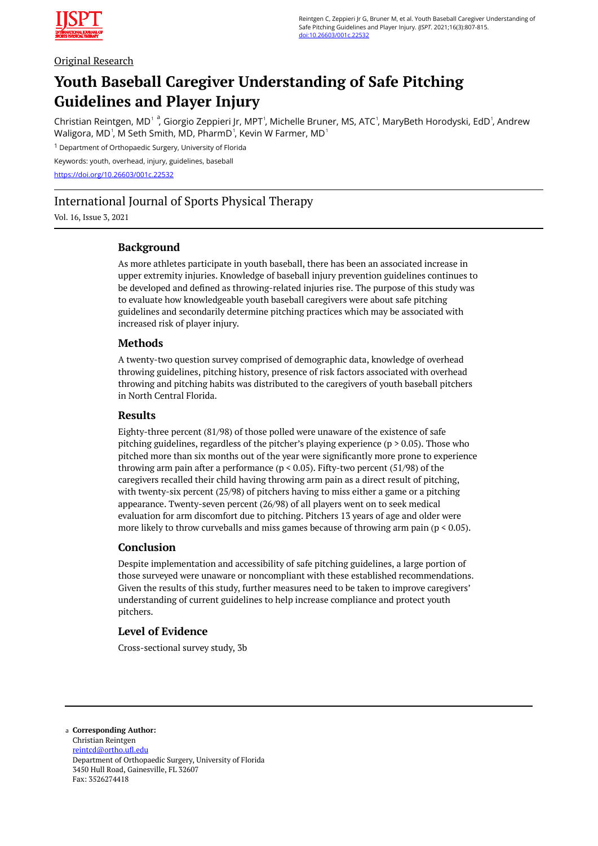

## Original Research

# **Youth Baseball Caregiver Understanding of Safe Pitching Guidelines and Player Injury**

Christian Reintgen, MD<sup>1 a</sup>, Giorgio Zeppieri Jr, MPT<sup>1</sup>, Michelle Bruner, MS, ATC<sup>1</sup>, MaryBeth Horodyski, EdD<sup>1</sup>, Andrew Waligora, MD<sup>1</sup>, M Seth Smith, MD, PharmD<sup>1</sup>, Kevin W Farmer, MD<sup>1</sup>

<sup>1</sup> Department of Orthopaedic Surgery, University of Florida

Keywords: youth, overhead, injury, guidelines, baseball <https://doi.org/10.26603/001c.22532>

# International Journal of Sports Physical Therapy

Vol. 16, Issue 3, 2021

# **Background**

As more athletes participate in youth baseball, there has been an associated increase in upper extremity injuries. Knowledge of baseball injury prevention guidelines continues to be developed and defined as throwing-related injuries rise. The purpose of this study was to evaluate how knowledgeable youth baseball caregivers were about safe pitching guidelines and secondarily determine pitching practices which may be associated with increased risk of player injury.

### **Methods**

A twenty-two question survey comprised of demographic data, knowledge of overhead throwing guidelines, pitching history, presence of risk factors associated with overhead throwing and pitching habits was distributed to the caregivers of youth baseball pitchers in North Central Florida.

### **Results**

Eighty-three percent (81/98) of those polled were unaware of the existence of safe pitching guidelines, regardless of the pitcher's playing experience ( $p > 0.05$ ). Those who pitched more than six months out of the year were significantly more prone to experience throwing arm pain after a performance ( $p < 0.05$ ). Fifty-two percent (51/98) of the caregivers recalled their child having throwing arm pain as a direct result of pitching, with twenty-six percent (25/98) of pitchers having to miss either a game or a pitching appearance. Twenty-seven percent (26/98) of all players went on to seek medical evaluation for arm discomfort due to pitching. Pitchers 13 years of age and older were more likely to throw curveballs and miss games because of throwing arm pain ( $p < 0.05$ ).

# **Conclusion**

Despite implementation and accessibility of safe pitching guidelines, a large portion of those surveyed were unaware or noncompliant with these established recommendations. Given the results of this study, further measures need to be taken to improve caregivers' understanding of current guidelines to help increase compliance and protect youth pitchers.

# **Level of Evidence**

Cross-sectional survey study, 3b

**Corresponding Author:**  a Christian Reintgen [reintcd@ortho.ufl.edu](mailto:reintcd@ortho.ufl.edu)  Department of Orthopaedic Surgery, University of Florida 3450 Hull Road, Gainesville, FL 32607 Fax: 3526274418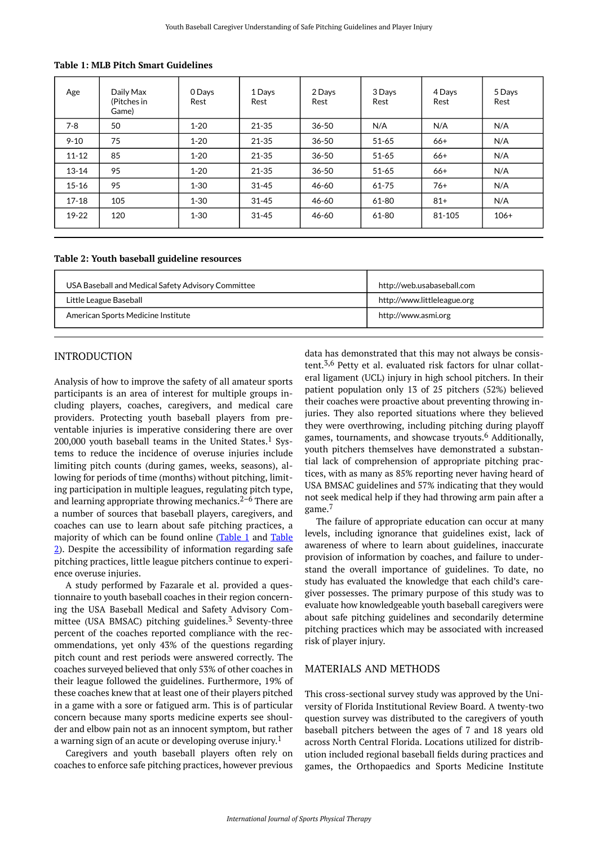| Age       | Daily Max<br>(Pitches in<br>Game) | 0 Days<br>Rest | 1 Days<br>Rest | 2 Days<br>Rest | 3 Days<br>Rest | 4 Days<br>Rest | 5 Days<br>Rest |
|-----------|-----------------------------------|----------------|----------------|----------------|----------------|----------------|----------------|
| $7 - 8$   | 50                                | $1 - 20$       | 21-35          | $36 - 50$      | N/A            | N/A            | N/A            |
| $9 - 10$  | 75                                | $1 - 20$       | 21-35          | $36 - 50$      | $51 - 65$      | $66+$          | N/A            |
| $11 - 12$ | 85                                | $1 - 20$       | $21 - 35$      | $36 - 50$      | $51 - 65$      | $66+$          | N/A            |
| $13 - 14$ | 95                                | $1 - 20$       | 21-35          | $36 - 50$      | $51 - 65$      | $66+$          | N/A            |
| $15 - 16$ | 95                                | $1 - 30$       | $31 - 45$      | 46-60          | $61 - 75$      | $76+$          | N/A            |
| $17 - 18$ | 105                               | $1 - 30$       | $31 - 45$      | 46-60          | 61-80          | $81+$          | N/A            |
| 19-22     | 120                               | $1 - 30$       | $31 - 45$      | 46-60          | 61-80          | 81-105         | $106+$         |

<span id="page-1-0"></span>**Table 1: MLB Pitch Smart Guidelines** 

#### <span id="page-1-1"></span>**Table 2: Youth baseball guideline resources**

| USA Baseball and Medical Safety Advisory Committee | http://web.usabaseball.com  |  |
|----------------------------------------------------|-----------------------------|--|
| Little League Baseball                             | http://www.littleleague.org |  |
| American Sports Medicine Institute                 | http://www.asmi.org         |  |

### INTRODUCTION

Analysis of how to improve the safety of all amateur sports participants is an area of interest for multiple groups including players, coaches, caregivers, and medical care providers. Protecting youth baseball players from preventable injuries is imperative considering there are over 200,000 youth baseball teams in the United States.<sup>1</sup> Systems to reduce the incidence of overuse injuries include limiting pitch counts (during games, weeks, seasons), allowing for periods of time (months) without pitching, limiting participation in multiple leagues, regulating pitch type, and learning appropriate throwing mechanics. $2-6$  There are a number of sources that baseball players, caregivers, and coaches can use to learn about safe pitching practices, a majority of which can be found online [\(Table 1](#page-1-0) and [Table](#page-1-1)  [2\)](#page-1-1). Despite the accessibility of information regarding safe pitching practices, little league pitchers continue to experience overuse injuries.

A study performed by Fazarale et al. provided a questionnaire to youth baseball coaches in their region concerning the USA Baseball Medical and Safety Advisory Committee (USA BMSAC) pitching guidelines. $3$  Seventy-three percent of the coaches reported compliance with the recommendations, yet only 43% of the questions regarding pitch count and rest periods were answered correctly. The coaches surveyed believed that only 53% of other coaches in their league followed the guidelines. Furthermore, 19% of these coaches knew that at least one of their players pitched in a game with a sore or fatigued arm. This is of particular concern because many sports medicine experts see shoulder and elbow pain not as an innocent symptom, but rather a warning sign of an acute or developing overuse injury.<sup>1</sup>

Caregivers and youth baseball players often rely on coaches to enforce safe pitching practices, however previous data has demonstrated that this may not always be consistent.<sup>3,6</sup> Petty et al. evaluated risk factors for ulnar collateral ligament (UCL) injury in high school pitchers. In their patient population only 13 of 25 pitchers (52%) believed their coaches were proactive about preventing throwing injuries. They also reported situations where they believed they were overthrowing, including pitching during playoff games, tournaments, and showcase tryouts.<sup>6</sup> Additionally, youth pitchers themselves have demonstrated a substantial lack of comprehension of appropriate pitching practices, with as many as 85% reporting never having heard of USA BMSAC guidelines and 57% indicating that they would not seek medical help if they had throwing arm pain after a game.<sup>7</sup>

The failure of appropriate education can occur at many levels, including ignorance that guidelines exist, lack of awareness of where to learn about guidelines, inaccurate provision of information by coaches, and failure to understand the overall importance of guidelines. To date, no study has evaluated the knowledge that each child's caregiver possesses. The primary purpose of this study was to evaluate how knowledgeable youth baseball caregivers were about safe pitching guidelines and secondarily determine pitching practices which may be associated with increased risk of player injury.

#### MATERIALS AND METHODS

This cross-sectional survey study was approved by the University of Florida Institutional Review Board. A twenty-two question survey was distributed to the caregivers of youth baseball pitchers between the ages of 7 and 18 years old across North Central Florida. Locations utilized for distribution included regional baseball fields during practices and games, the Orthopaedics and Sports Medicine Institute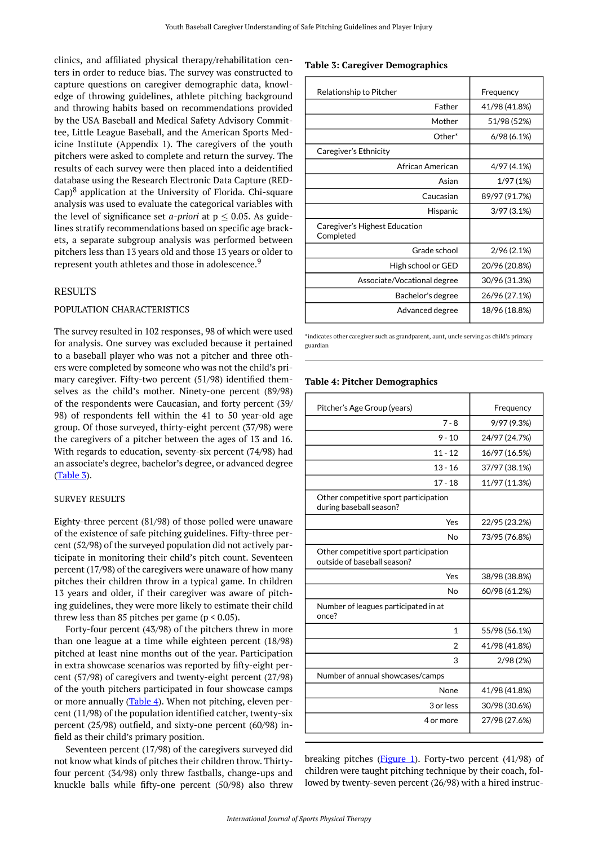<span id="page-2-0"></span>clinics, and affiliated physical therapy/rehabilitation centers in order to reduce bias. The survey was constructed to capture questions on caregiver demographic data, knowledge of throwing guidelines, athlete pitching background and throwing habits based on recommendations provided by the USA Baseball and Medical Safety Advisory Committee, Little League Baseball, and the American Sports Medicine Institute (Appendix 1). The caregivers of the youth pitchers were asked to complete and return the survey. The results of each survey were then placed into a deidentified database using the Research Electronic Data Capture (RED-Cap)<sup>8</sup> application at the University of Florida. Chi-square analysis was used to evaluate the categorical variables with the level of significance set *a-priori* at  $p < 0.05$ . As guidelines stratify recommendations based on specific age brackets, a separate subgroup analysis was performed between pitchers less than 13 years old and those 13 years or older to represent youth athletes and those in adolescence.<sup>9</sup>

#### RESULTS

#### POPULATION CHARACTERISTICS

<span id="page-2-1"></span>The survey resulted in 102 responses, 98 of which were used for analysis. One survey was excluded because it pertained to a baseball player who was not a pitcher and three others were completed by someone who was not the child's primary caregiver. Fifty-two percent (51/98) identified themselves as the child's mother. Ninety-one percent (89/98) of the respondents were Caucasian, and forty percent (39/ 98) of respondents fell within the 41 to 50 year-old age group. Of those surveyed, thirty-eight percent (37/98) were the caregivers of a pitcher between the ages of 13 and 16. With regards to education, seventy-six percent (74/98) had an associate's degree, bachelor's degree, or advanced degree  $(Table 3)$  $(Table 3)$ .

#### SURVEY RESULTS

Eighty-three percent (81/98) of those polled were unaware of the existence of safe pitching guidelines. Fifty-three percent (52/98) of the surveyed population did not actively participate in monitoring their child's pitch count. Seventeen percent (17/98) of the caregivers were unaware of how many pitches their children throw in a typical game. In children 13 years and older, if their caregiver was aware of pitching guidelines, they were more likely to estimate their child threw less than 85 pitches per game ( $p < 0.05$ ).

Forty-four percent (43/98) of the pitchers threw in more than one league at a time while eighteen percent (18/98) pitched at least nine months out of the year. Participation in extra showcase scenarios was reported by fifty-eight percent (57/98) of caregivers and twenty-eight percent (27/98) of the youth pitchers participated in four showcase camps or more annually  $(Table 4)$  $(Table 4)$ . When not pitching, eleven percent (11/98) of the population identified catcher, twenty-six percent (25/98) outfield, and sixty-one percent (60/98) infield as their child's primary position.

Seventeen percent (17/98) of the caregivers surveyed did not know what kinds of pitches their children throw. Thirtyfour percent (34/98) only threw fastballs, change-ups and knuckle balls while fifty-one percent (50/98) also threw

#### **Table 3: Caregiver Demographics**

| Relationship to Pitcher                    | Frequency     |  |  |
|--------------------------------------------|---------------|--|--|
| Father                                     | 41/98 (41.8%) |  |  |
| Mother                                     | 51/98 (52%)   |  |  |
| Other*                                     | 6/98(6.1%)    |  |  |
| Caregiver's Ethnicity                      |               |  |  |
| African American                           | 4/97 (4.1%)   |  |  |
| Asian                                      | 1/97(1%)      |  |  |
| Caucasian                                  | 89/97 (91.7%) |  |  |
| Hispanic                                   | 3/97(3.1%)    |  |  |
| Caregiver's Highest Education<br>Completed |               |  |  |
| Grade school                               | 2/96 (2.1%)   |  |  |
| High school or GED                         | 20/96 (20.8%) |  |  |
| Associate/Vocational degree                | 30/96 (31.3%) |  |  |
| Bachelor's degree                          | 26/96 (27.1%) |  |  |
| Advanced degree                            | 18/96 (18.8%) |  |  |

\*indicates other caregiver such as grandparent, aunt, uncle serving as child's primary guardian

#### **Table 4: Pitcher Demographics**

| Pitcher's Age Group (years)                                          | Frequency     |  |  |
|----------------------------------------------------------------------|---------------|--|--|
| $7 - 8$                                                              | 9/97 (9.3%)   |  |  |
|                                                                      |               |  |  |
| $9 - 10$                                                             | 24/97 (24.7%) |  |  |
| $11 - 12$                                                            | 16/97 (16.5%) |  |  |
| $13 - 16$                                                            | 37/97 (38.1%) |  |  |
| $17 - 18$                                                            | 11/97 (11.3%) |  |  |
| Other competitive sport participation<br>during baseball season?     |               |  |  |
| Yes                                                                  | 22/95 (23.2%) |  |  |
| <b>No</b>                                                            | 73/95 (76.8%) |  |  |
| Other competitive sport participation<br>outside of baseball season? |               |  |  |
| Yes                                                                  | 38/98 (38.8%) |  |  |
| No                                                                   | 60/98 (61.2%) |  |  |
| Number of leagues participated in at<br>once?                        |               |  |  |
| 1                                                                    | 55/98 (56.1%) |  |  |
| $\overline{2}$                                                       | 41/98 (41.8%) |  |  |
| 3                                                                    | 2/98(2%)      |  |  |
| Number of annual showcases/camps                                     |               |  |  |
| None                                                                 | 41/98 (41.8%) |  |  |
| 3 or less                                                            | 30/98 (30.6%) |  |  |
| 4 or more                                                            | 27/98 (27.6%) |  |  |

breaking pitches ( $Figure 1$ ). Forty-two percent (41/98) of children were taught pitching technique by their coach, followed by twenty-seven percent (26/98) with a hired instruc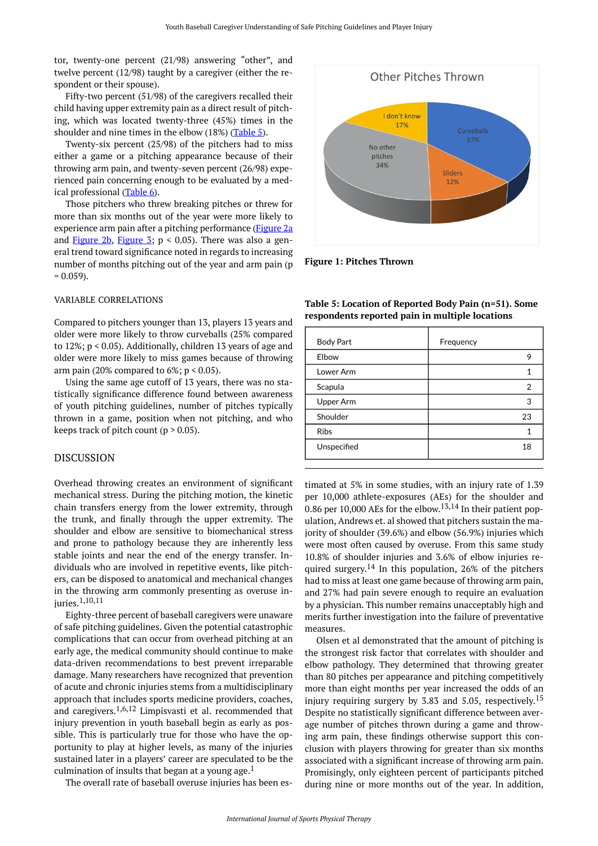<span id="page-3-0"></span>tor, twenty-one percent (21/98) answering "other", and twelve percent (12/98) taught by a caregiver (either the respondent or their spouse).

Fifty-two percent (51/98) of the caregivers recalled their child having upper extremity pain as a direct result of pitching, which was located twenty-three (45%) times in the shoulder and nine times in the elbow (18%) [\(Table 5](#page-3-1)).

Twenty-six percent (25/98) of the pitchers had to miss either a game or a pitching appearance because of their throwing arm pain, and twenty-seven percent (26/98) experienced pain concerning enough to be evaluated by a med-ical professional ([Table 6\)](#page-4-0).

Those pitchers who threw breaking pitches or threw for more than six months out of the year were more likely to experience arm pain after a pitching performance ([Figure 2a](#page-4-1)  and [Figure 2b](#page-4-2), [Figure 3;](#page-5-0)  $p < 0.05$ ). There was also a general trend toward significance noted in regards to increasing number of months pitching out of the year and arm pain (p  $= 0.059$ ).

#### <span id="page-3-1"></span>VARIABLE CORRELATIONS

Compared to pitchers younger than 13, players 13 years and older were more likely to throw curveballs (25% compared to 12%; p < 0.05). Additionally, children 13 years of age and older were more likely to miss games because of throwing arm pain (20% compared to  $6\%$ ;  $p < 0.05$ ).

Using the same age cutoff of 13 years, there was no statistically significance difference found between awareness of youth pitching guidelines, number of pitches typically thrown in a game, position when not pitching, and who keeps track of pitch count ( $p > 0.05$ ).

#### DISCUSSION

Overhead throwing creates an environment of significant mechanical stress. During the pitching motion, the kinetic chain transfers energy from the lower extremity, through the trunk, and finally through the upper extremity. The shoulder and elbow are sensitive to biomechanical stress and prone to pathology because they are inherently less stable joints and near the end of the energy transfer. Individuals who are involved in repetitive events, like pitchers, can be disposed to anatomical and mechanical changes in the throwing arm commonly presenting as overuse injuries.1,10,11

Eighty-three percent of baseball caregivers were unaware of safe pitching guidelines. Given the potential catastrophic complications that can occur from overhead pitching at an early age, the medical community should continue to make data-driven recommendations to best prevent irreparable damage. Many researchers have recognized that prevention of acute and chronic injuries stems from a multidisciplinary approach that includes sports medicine providers, coaches, and caregivers.<sup>1,6,12</sup> Limpisvasti et al. recommended that injury prevention in youth baseball begin as early as possible. This is particularly true for those who have the opportunity to play at higher levels, as many of the injuries sustained later in a players' career are speculated to be the culmination of insults that began at a young age.<sup>1</sup>

The overall rate of baseball overuse injuries has been es-

Other Pitches Thrown I don't know 17% 37% No other pitches 34% Sliders 12%

**Figure 1: Pitches Thrown** 

| <b>Body Part</b> | Frequency      |
|------------------|----------------|
| Elbow            | 9              |
| Lower Arm        | 1              |
| Scapula          | $\overline{2}$ |
| Upper Arm        | 3              |
| Shoulder         | 23             |
| <b>Ribs</b>      | 1              |
| Unspecified      | 18             |
|                  |                |

**Table 5: Location of Reported Body Pain (n=51). Some respondents reported pain in multiple locations** 

timated at 5% in some studies, with an injury rate of 1.39 per 10,000 athlete-exposures (AEs) for the shoulder and 0.86 per 10,000 AEs for the elbow. $13,14$  In their patient population, Andrews et. al showed that pitchers sustain the majority of shoulder (39.6%) and elbow (56.9%) injuries which were most often caused by overuse. From this same study 10.8% of shoulder injuries and 3.6% of elbow injuries required surgery.<sup>14</sup> In this population, 26% of the pitchers had to miss at least one game because of throwing arm pain, and 27% had pain severe enough to require an evaluation by a physician. This number remains unacceptably high and merits further investigation into the failure of preventative measures.

Olsen et al demonstrated that the amount of pitching is the strongest risk factor that correlates with shoulder and elbow pathology. They determined that throwing greater than 80 pitches per appearance and pitching competitively more than eight months per year increased the odds of an injury requiring surgery by 3.83 and 5.05, respectively. 15 Despite no statistically significant difference between average number of pitches thrown during a game and throwing arm pain, these findings otherwise support this conclusion with players throwing for greater than six months associated with a significant increase of throwing arm pain. Promisingly, only eighteen percent of participants pitched during nine or more months out of the year. In addition,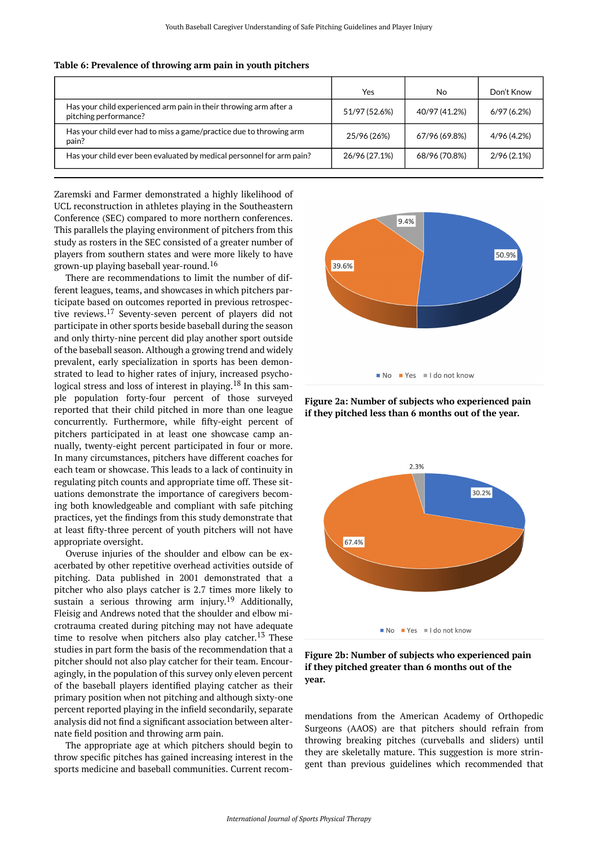|                                                                                            | Yes           | No.           | Don't Know    |
|--------------------------------------------------------------------------------------------|---------------|---------------|---------------|
| Has your child experienced arm pain in their throwing arm after a<br>pitching performance? | 51/97 (52.6%) | 40/97 (41.2%) | 6/97(6.2%)    |
| Has your child ever had to miss a game/practice due to throwing arm<br>pain?               | 25/96 (26%)   | 67/96 (69.8%) | 4/96 (4.2%)   |
| Has your child ever been evaluated by medical personnel for arm pain?                      | 26/96 (27.1%) | 68/96 (70.8%) | $2/96(2.1\%)$ |

#### <span id="page-4-0"></span>**Table 6: Prevalence of throwing arm pain in youth pitchers**

<span id="page-4-1"></span>Zaremski and Farmer demonstrated a highly likelihood of UCL reconstruction in athletes playing in the Southeastern Conference (SEC) compared to more northern conferences. This parallels the playing environment of pitchers from this study as rosters in the SEC consisted of a greater number of players from southern states and were more likely to have grown-up playing baseball year-round.<sup>16</sup>

There are recommendations to limit the number of different leagues, teams, and showcases in which pitchers participate based on outcomes reported in previous retrospective reviews.<sup>17</sup> Seventy-seven percent of players did not participate in other sports beside baseball during the season and only thirty-nine percent did play another sport outside of the baseball season. Although a growing trend and widely prevalent, early specialization in sports has been demonstrated to lead to higher rates of injury, increased psychological stress and loss of interest in playing.<sup>18</sup> In this sample population forty-four percent of those surveyed reported that their child pitched in more than one league concurrently. Furthermore, while fifty-eight percent of pitchers participated in at least one showcase camp annually, twenty-eight percent participated in four or more. In many circumstances, pitchers have different coaches for each team or showcase. This leads to a lack of continuity in regulating pitch counts and appropriate time off. These situations demonstrate the importance of caregivers becoming both knowledgeable and compliant with safe pitching practices, yet the findings from this study demonstrate that at least fifty-three percent of youth pitchers will not have appropriate oversight.

<span id="page-4-2"></span>Overuse injuries of the shoulder and elbow can be exacerbated by other repetitive overhead activities outside of pitching. Data published in 2001 demonstrated that a pitcher who also plays catcher is 2.7 times more likely to sustain a serious throwing arm injury.<sup>19</sup> Additionally, Fleisig and Andrews noted that the shoulder and elbow microtrauma created during pitching may not have adequate time to resolve when pitchers also play catcher.<sup>13</sup> These studies in part form the basis of the recommendation that a pitcher should not also play catcher for their team. Encouragingly, in the population of this survey only eleven percent of the baseball players identified playing catcher as their primary position when not pitching and although sixty-one percent reported playing in the infield secondarily, separate analysis did not find a significant association between alternate field position and throwing arm pain.

The appropriate age at which pitchers should begin to throw specific pitches has gained increasing interest in the sports medicine and baseball communities. Current recom-



**Figure 2a: Number of subjects who experienced pain if they pitched less than 6 months out of the year.** 



**Figure 2b: Number of subjects who experienced pain if they pitched greater than 6 months out of the year.** 

mendations from the American Academy of Orthopedic Surgeons (AAOS) are that pitchers should refrain from throwing breaking pitches (curveballs and sliders) until they are skeletally mature. This suggestion is more stringent than previous guidelines which recommended that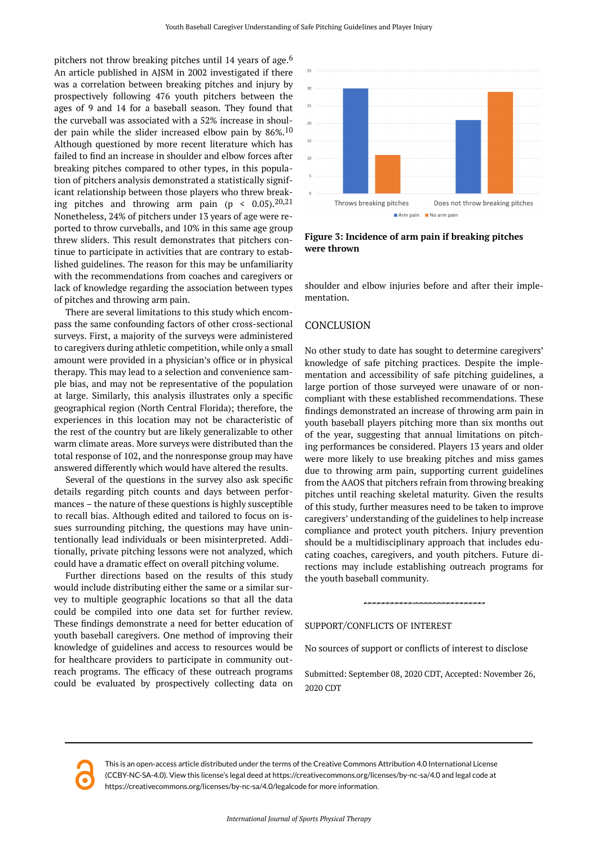<span id="page-5-0"></span>pitchers not throw breaking pitches until 14 years of age.<sup>6</sup> An article published in AJSM in 2002 investigated if there was a correlation between breaking pitches and injury by prospectively following 476 youth pitchers between the ages of 9 and 14 for a baseball season. They found that the curveball was associated with a 52% increase in shoulder pain while the slider increased elbow pain by  $86\%$ .<sup>10</sup> Although questioned by more recent literature which has failed to find an increase in shoulder and elbow forces after breaking pitches compared to other types, in this population of pitchers analysis demonstrated a statistically significant relationship between those players who threw breaking pitches and throwing arm pain (p <  $0.05$ ).<sup>20,21</sup> Nonetheless, 24% of pitchers under 13 years of age were reported to throw curveballs, and 10% in this same age group threw sliders. This result demonstrates that pitchers continue to participate in activities that are contrary to established guidelines. The reason for this may be unfamiliarity with the recommendations from coaches and caregivers or lack of knowledge regarding the association between types of pitches and throwing arm pain.

There are several limitations to this study which encompass the same confounding factors of other cross-sectional surveys. First, a majority of the surveys were administered to caregivers during athletic competition, while only a small amount were provided in a physician's office or in physical therapy. This may lead to a selection and convenience sample bias, and may not be representative of the population at large. Similarly, this analysis illustrates only a specific geographical region (North Central Florida); therefore, the experiences in this location may not be characteristic of the rest of the country but are likely generalizable to other warm climate areas. More surveys were distributed than the total response of 102, and the nonresponse group may have answered differently which would have altered the results.

Several of the questions in the survey also ask specific details regarding pitch counts and days between performances – the nature of these questions is highly susceptible to recall bias. Although edited and tailored to focus on issues surrounding pitching, the questions may have unintentionally lead individuals or been misinterpreted. Additionally, private pitching lessons were not analyzed, which could have a dramatic effect on overall pitching volume.

Further directions based on the results of this study would include distributing either the same or a similar survey to multiple geographic locations so that all the data could be compiled into one data set for further review. These findings demonstrate a need for better education of youth baseball caregivers. One method of improving their knowledge of guidelines and access to resources would be for healthcare providers to participate in community outreach programs. The efficacy of these outreach programs could be evaluated by prospectively collecting data on



**Figure 3: Incidence of arm pain if breaking pitches were thrown** 

shoulder and elbow injuries before and after their implementation.

### **CONCLUSION**

No other study to date has sought to determine caregivers' knowledge of safe pitching practices. Despite the implementation and accessibility of safe pitching guidelines, a large portion of those surveyed were unaware of or noncompliant with these established recommendations. These findings demonstrated an increase of throwing arm pain in youth baseball players pitching more than six months out of the year, suggesting that annual limitations on pitching performances be considered. Players 13 years and older were more likely to use breaking pitches and miss games due to throwing arm pain, supporting current guidelines from the AAOS that pitchers refrain from throwing breaking pitches until reaching skeletal maturity. Given the results of this study, further measures need to be taken to improve caregivers' understanding of the guidelines to help increase compliance and protect youth pitchers. Injury prevention should be a multidisciplinary approach that includes educating coaches, caregivers, and youth pitchers. Future directions may include establishing outreach programs for the youth baseball community.

SUPPORT/CONFLICTS OF INTEREST

No sources of support or conflicts of interest to disclose

Submitted: September 08, 2020 CDT, Accepted: November 26, 2020 CDT



This is an open-access article distributed under the terms of the Creative Commons Attribution 4.0 International License (CCBY-NC-SA-4.0). View this license's legal deed at https://creativecommons.org/licenses/by-nc-sa/4.0 and legal code at https://creativecommons.org/licenses/by-nc-sa/4.0/legalcode for more information.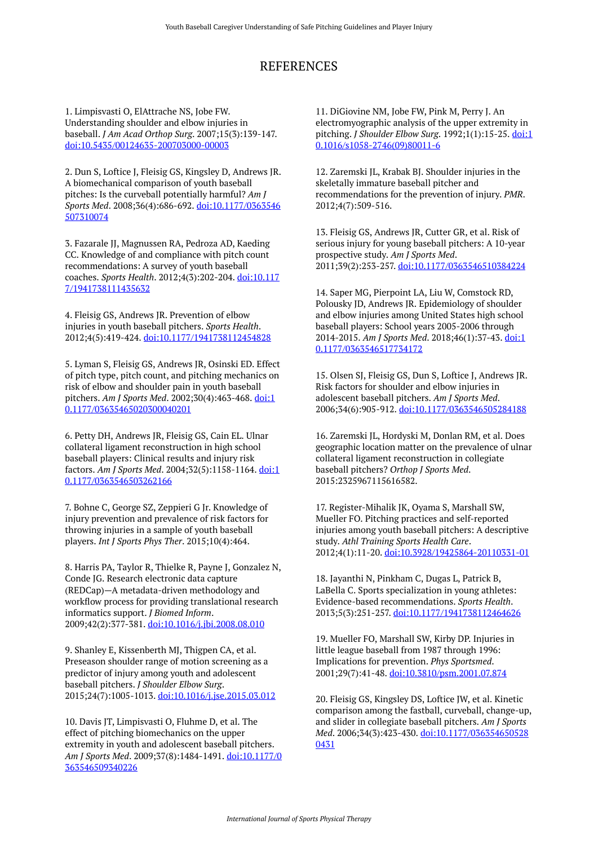# REFERENCES

1. Limpisvasti O, ElAttrache NS, Jobe FW. Understanding shoulder and elbow injuries in baseball. *J Am Acad Orthop Surg*. 2007;15(3):139-147. [doi:10.5435/00124635-200703000-00003](https://doi.org/10.5435/00124635-200703000-00003) 

2. Dun S, Loftice J, Fleisig GS, Kingsley D, Andrews JR. A biomechanical comparison of youth baseball pitches: Is the curveball potentially harmful? *Am J Sports Med*. 2008;36(4):686-692. [doi:10.1177/0363546](https://doi.org/10.1177/0363546507310074) [507310074](https://doi.org/10.1177/0363546507310074) 

3. Fazarale JJ, Magnussen RA, Pedroza AD, Kaeding CC. Knowledge of and compliance with pitch count recommendations: A survey of youth baseball coaches. *Sports Health*. 2012;4(3):202-204. [doi:10.117](https://doi.org/10.1177/1941738111435632) [7/1941738111435632](https://doi.org/10.1177/1941738111435632)

4. Fleisig GS, Andrews JR. Prevention of elbow injuries in youth baseball pitchers. *Sports Health*. 2012;4(5):419-424. [doi:10.1177/1941738112454828](https://doi.org/10.1177/1941738112454828) 

5. Lyman S, Fleisig GS, Andrews JR, Osinski ED. Effect of pitch type, pitch count, and pitching mechanics on risk of elbow and shoulder pain in youth baseball pitchers. *Am J Sports Med*. 2002;30(4):463-468. [doi:1](https://doi.org/10.1177/03635465020300040201) [0.1177/03635465020300040201](https://doi.org/10.1177/03635465020300040201)

6. Petty DH, Andrews JR, Fleisig GS, Cain EL. Ulnar collateral ligament reconstruction in high school baseball players: Clinical results and injury risk factors. *Am J Sports Med*. 2004;32(5):1158-1164. [doi:1](https://doi.org/10.1177/0363546503262166) [0.1177/0363546503262166](https://doi.org/10.1177/0363546503262166)

7. Bohne C, George SZ, Zeppieri G Jr. Knowledge of injury prevention and prevalence of risk factors for throwing injuries in a sample of youth baseball players. *Int J Sports Phys Ther*. 2015;10(4):464.

8. Harris PA, Taylor R, Thielke R, Payne J, Gonzalez N, Conde JG. Research electronic data capture (REDCap)—A metadata-driven methodology and workflow process for providing translational research informatics support. *J Biomed Inform*. 2009;42(2):377-381. [doi:10.1016/j.jbi.2008.08.010](https://doi.org/10.1016/j.jbi.2008.08.010)

9. Shanley E, Kissenberth MJ, Thigpen CA, et al. Preseason shoulder range of motion screening as a predictor of injury among youth and adolescent baseball pitchers. *J Shoulder Elbow Surg*. 2015;24(7):1005-1013. [doi:10.1016/j.jse.2015.03.012](https://doi.org/10.1016/j.jse.2015.03.012)

10. Davis JT, Limpisvasti O, Fluhme D, et al. The effect of pitching biomechanics on the upper extremity in youth and adolescent baseball pitchers. *Am J Sports Med*. 2009;37(8):1484-1491. [doi:10.1177/0](https://doi.org/10.1177/0363546509340226) [363546509340226](https://doi.org/10.1177/0363546509340226) 

11. DiGiovine NM, Jobe FW, Pink M, Perry J. An electromyographic analysis of the upper extremity in pitching. *J Shoulder Elbow Surg*. 1992;1(1):15-25. [doi:1](https://doi.org/10.1016/s1058-2746(09)80011-6) [0.1016/s1058-2746\(09\)80011-6](https://doi.org/10.1016/s1058-2746(09)80011-6) 

12. Zaremski JL, Krabak BJ. Shoulder injuries in the skeletally immature baseball pitcher and recommendations for the prevention of injury. *PMR*. 2012;4(7):509-516.

13. Fleisig GS, Andrews JR, Cutter GR, et al. Risk of serious injury for young baseball pitchers: A 10-year prospective study. *Am J Sports Med*. 2011;39(2):253-257. [doi:10.1177/0363546510384224](https://doi.org/10.1177/0363546510384224)

14. Saper MG, Pierpoint LA, Liu W, Comstock RD, Polousky JD, Andrews JR. Epidemiology of shoulder and elbow injuries among United States high school baseball players: School years 2005-2006 through 2014-2015. *Am J Sports Med*. 2018;46(1):37-43. [doi:1](https://doi.org/10.1177/0363546517734172) [0.1177/0363546517734172](https://doi.org/10.1177/0363546517734172) 

15. Olsen SJ, Fleisig GS, Dun S, Loftice J, Andrews JR. Risk factors for shoulder and elbow injuries in adolescent baseball pitchers. *Am J Sports Med*. 2006;34(6):905-912. [doi:10.1177/0363546505284188](https://doi.org/10.1177/0363546505284188)

16. Zaremski JL, Hordyski M, Donlan RM, et al. Does geographic location matter on the prevalence of ulnar collateral ligament reconstruction in collegiate baseball pitchers? *Orthop J Sports Med*. 2015:2325967115616582.

17. Register-Mihalik JK, Oyama S, Marshall SW, Mueller FO. Pitching practices and self-reported injuries among youth baseball pitchers: A descriptive study. *Athl Training Sports Health Care*. 2012;4(1):11-20. [doi:10.3928/19425864-20110331-01](https://doi.org/10.3928/19425864-20110331-01)

18. Jayanthi N, Pinkham C, Dugas L, Patrick B, LaBella C. Sports specialization in young athletes: Evidence-based recommendations. *Sports Health*. 2013;5(3):251-257. [doi:10.1177/1941738112464626](https://doi.org/10.1177/1941738112464626)

19. Mueller FO, Marshall SW, Kirby DP. Injuries in little league baseball from 1987 through 1996: Implications for prevention. *Phys Sportsmed*. 2001;29(7):41-48. [doi:10.3810/psm.2001.07.874](https://doi.org/10.3810/psm.2001.07.874)

20. Fleisig GS, Kingsley DS, Loftice JW, et al. Kinetic comparison among the fastball, curveball, change-up, and slider in collegiate baseball pitchers. *Am J Sports Med*. 2006;34(3):423-430. [doi:10.1177/036354650528](https://doi.org/10.1177/0363546505280431) [0431](https://doi.org/10.1177/0363546505280431)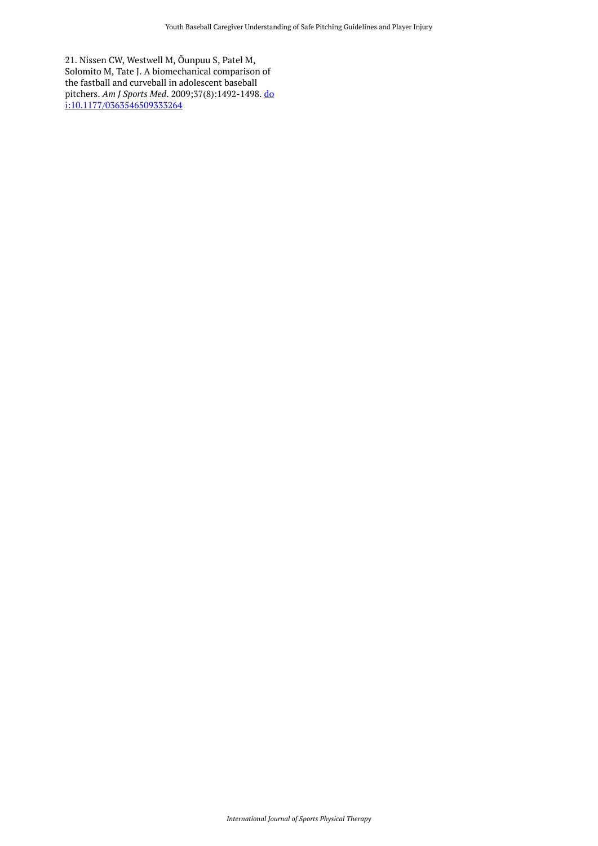21. Nissen CW, Westwell M, Õunpuu S, Patel M, Solomito M, Tate J. A biomechanical comparison of the fastball and curveball in adolescent baseball pitchers. *Am J Sports Med*. 2009;37(8):1492-1498. [do](https://doi.org/10.1177/0363546509333264) [i:10.1177/0363546509333264](https://doi.org/10.1177/0363546509333264)